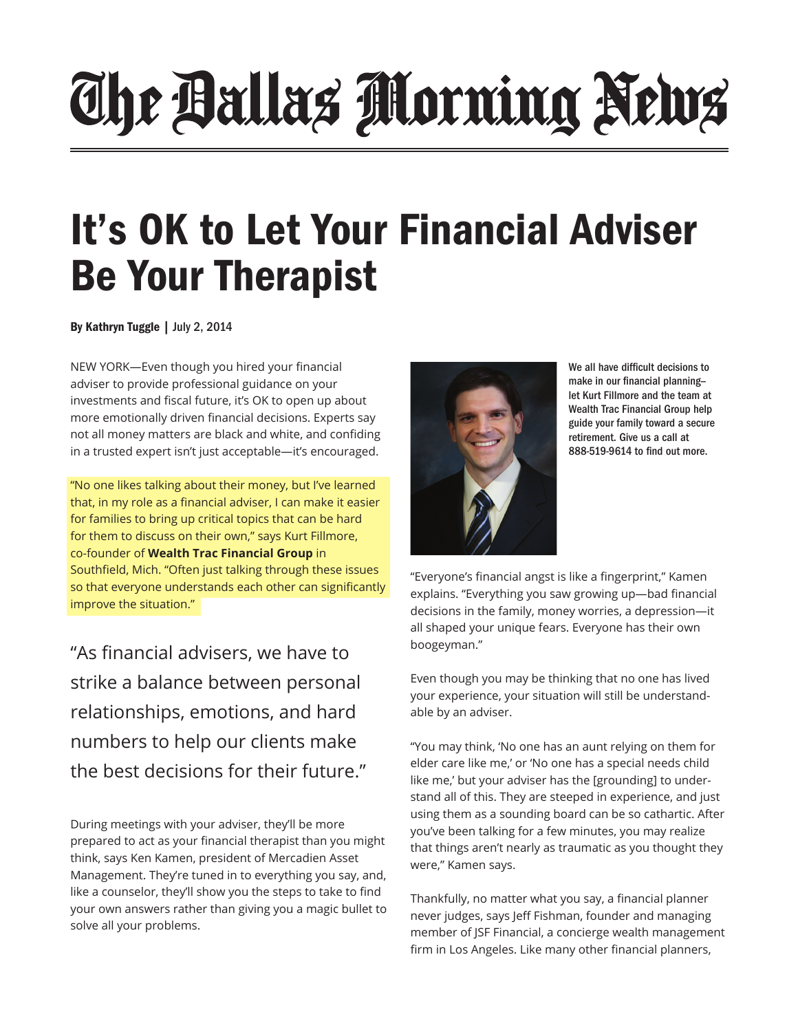## The Ballas Morning News

## It's OK to Let Your Financial Adviser Be Your Therapist

By Kathryn Tuggle | July 2, 2014

NEW YORK—Even though you hired your financial adviser to provide professional guidance on your investments and fiscal future, it's OK to open up about more emotionally driven financial decisions. Experts say not all money matters are black and white, and confiding in a trusted expert isn't just acceptable—it's encouraged.

"No one likes talking about their money, but I've learned that, in my role as a financial adviser, I can make it easier for families to bring up critical topics that can be hard for them to discuss on their own," says Kurt Fillmore, co-founder of **Wealth Trac Financial Group** in Southfield, Mich. "Often just talking through these issues so that everyone understands each other can significantly improve the situation."

"As financial advisers, we have to strike a balance between personal relationships, emotions, and hard numbers to help our clients make the best decisions for their future."

During meetings with your adviser, they'll be more prepared to act as your financial therapist than you might think, says Ken Kamen, president of Mercadien Asset Management. They're tuned in to everything you say, and, like a counselor, they'll show you the steps to take to find your own answers rather than giving you a magic bullet to solve all your problems.



We all have difficult decisions to make in our financial planning- let Kurt Fillmore and the team at Wealth Trac Financial Group help guide your family toward a secure retirement. Give us a call at 888-519-9614 to find out more.

"Everyone's financial angst is like a fingerprint," Kamen explains. "Everything you saw growing up—bad financial decisions in the family, money worries, a depression—it all shaped your unique fears. Everyone has their own boogeyman."

Even though you may be thinking that no one has lived your experience, your situation will still be understandable by an adviser.

"You may think, 'No one has an aunt relying on them for elder care like me,' or 'No one has a special needs child like me,' but your adviser has the [grounding] to understand all of this. They are steeped in experience, and just using them as a sounding board can be so cathartic. After you've been talking for a few minutes, you may realize that things aren't nearly as traumatic as you thought they were," Kamen says.

Thankfully, no matter what you say, a financial planner never judges, says Jeff Fishman, founder and managing member of JSF Financial, a concierge wealth management firm in Los Angeles. Like many other financial planners,